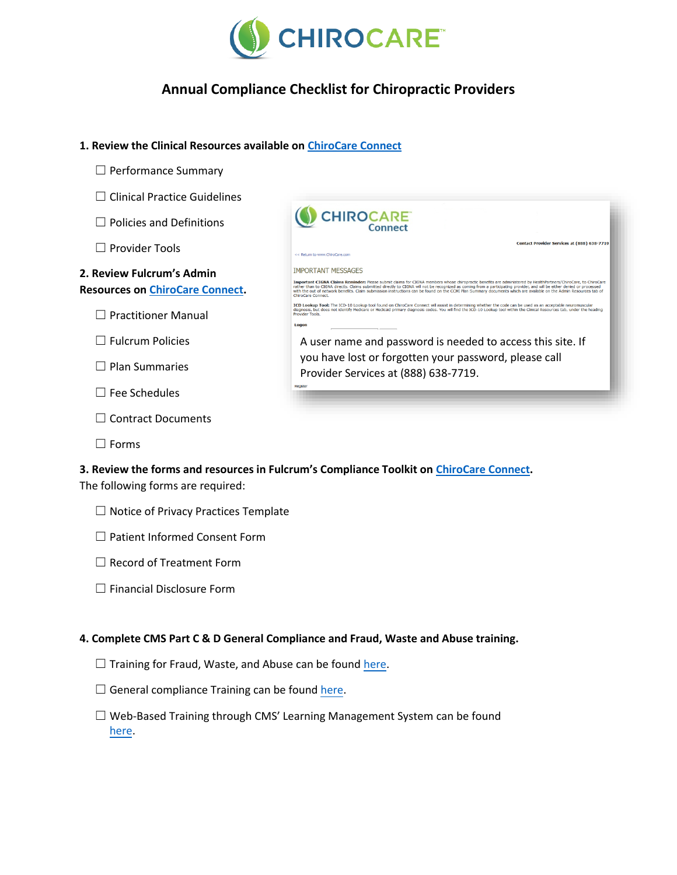

# **Annual Compliance Checklist for Chiropractic Providers**

#### **1. Review the Clinical Resources available on [ChiroCare Connect](https://ccmiproviders.lmhealthcare.com/Login/tabid/73/Default.aspx?returnurl=%2fWelcome%2ftabid%2f219%2fDefault.aspx)**

- ☐ Performance Summary
- ☐ Clinical Practice Guidelines
- ☐ Policies and Definitions
- ☐ Provider Tools

### **2. Review Fulcrum's Admin Resources on [ChiroCare Connect.](https://ccmiproviders.lmhealthcare.com/Login/tabid/73/Default.aspx?returnurl=%2fWelcome%2ftabid%2f219%2fDefault.aspx)**

☐ Practitioner Manual

☐ Fulcrum Policies

☐ Plan Summaries

☐ Fee Schedules

☐ Contract Documents

☐ Forms

| <b>CHIROCARE</b><br>Connect                                                                                                                                                                                                                                                                                                                                                                                                                                                                                                           |
|---------------------------------------------------------------------------------------------------------------------------------------------------------------------------------------------------------------------------------------------------------------------------------------------------------------------------------------------------------------------------------------------------------------------------------------------------------------------------------------------------------------------------------------|
| Contact Provider Services at (888) 638-7719                                                                                                                                                                                                                                                                                                                                                                                                                                                                                           |
| << Return to www.ChiroCare.com                                                                                                                                                                                                                                                                                                                                                                                                                                                                                                        |
| <b>IMPORTANT MESSAGES</b>                                                                                                                                                                                                                                                                                                                                                                                                                                                                                                             |
| Important CIGNA Claims Reminder: Please submit claims for CIGNA members whose chiropractic benefits are administered by HealthPartners/ChiroCare, to ChiroCare<br>rather than to CIGNA directly. Claims submitted directly to CIGNA will not be recognized as coming from a participating provider, and will be either denied or processed<br>with the out of network benefits. Claim submission instructions can be found on the CCMI Plan Summary documents which are available on the Admin Resources tab of<br>ChiroCare Connect. |
| ICD Lookup Tool: The ICD-10 Lookup tool found on ChiroCare Connect will assist in determining whether the code can be used as an acceptable neuromuscular<br>diagnosis, but does not identify Medicare or Medicaid primary diagnosis codes. You will find the ICD-10 Lookup tool within the Clinical Resources tab, under the heading<br>Provider Tools.                                                                                                                                                                              |
| Logon                                                                                                                                                                                                                                                                                                                                                                                                                                                                                                                                 |
| A user name and password is needed to access this site. If                                                                                                                                                                                                                                                                                                                                                                                                                                                                            |
| you have lost or forgotten your password, please call                                                                                                                                                                                                                                                                                                                                                                                                                                                                                 |
| Provider Services at (888) 638-7719.                                                                                                                                                                                                                                                                                                                                                                                                                                                                                                  |

**3. Review the forms and resources in Fulcrum's Compliance Toolkit on [ChiroCare Connect.](https://ccmiproviders.lmhealthcare.com/Login/tabid/73/Default.aspx?returnurl=%2fWelcome%2ftabid%2f219%2fDefault.aspx)** The following forms are required:

- ☐ Notice of Privacy Practices Template
- ☐ Patient Informed Consent Form
- □ Record of Treatment Form
- ☐ Financial Disclosure Form

#### **4. Complete CMS Part C & D General Compliance and Fraud, Waste and Abuse training.**

- $\Box$  Training for Fraud, Waste, and Abuse can be found [here.](https://www.chirocare.com/wp-content/uploads/2017/11/CMS-FWA-Training-Slides.pdf)
- $\Box$  General compliance Training can be found [here.](https://www.chirocare.com/wp-content/uploads/2017/11/CMS-Gerenal-Compliance-Training-Slides.pdf)
- ☐ Web-Based Training through CMS' Learning Management System can be found [here.](https://learner.mlnlms.com/Default.aspx)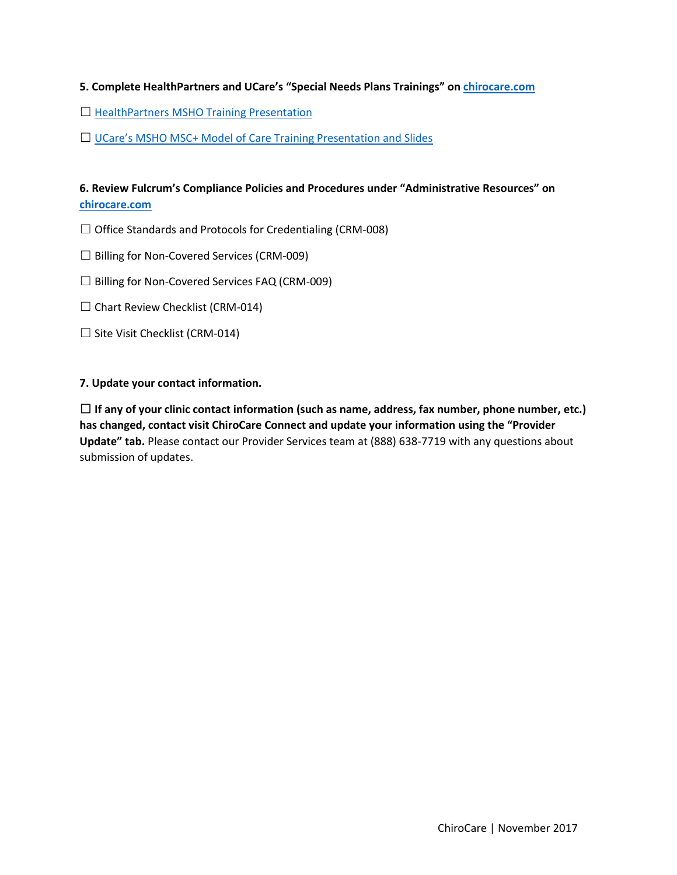### **5. Complete HealthPartners and UCare's "Special Needs Plans Trainings" on [chirocare.com](http://www.chirocare.com./)**

- □ [HealthPartners MSHO Training Presentation](https://www.healthpartners.com/ucm/groups/public/@hp/@public/documents/documents/cntrb_041302.pdf)
- □ UCare's [MSHO MSC+ Model of Care Training Presentation and Slides](https://www.ucare.org/providers/Care-Coordinators/Pages/Care-Coordination-Trainings.aspx)

## **6. Review Fulcrum's Compliance Policies and Procedures under "Administrative Resources" on [chirocare.com](http://www.chirocare.com/)**

- $\Box$  Office Standards and Protocols for Credentialing (CRM-008)
- ☐ Billing for Non-Covered Services (CRM-009)
- $\Box$  Billing for Non-Covered Services FAQ (CRM-009)
- $\Box$  Chart Review Checklist (CRM-014)
- $\Box$  Site Visit Checklist (CRM-014)

#### **7. Update your contact information.**

☐ **If any of your clinic contact information (such as name, address, fax number, phone number, etc.) has changed, contact visit ChiroCare Connect and update your information using the "Provider Update" tab.** Please contact our Provider Services team at (888) 638-7719 with any questions about submission of updates.